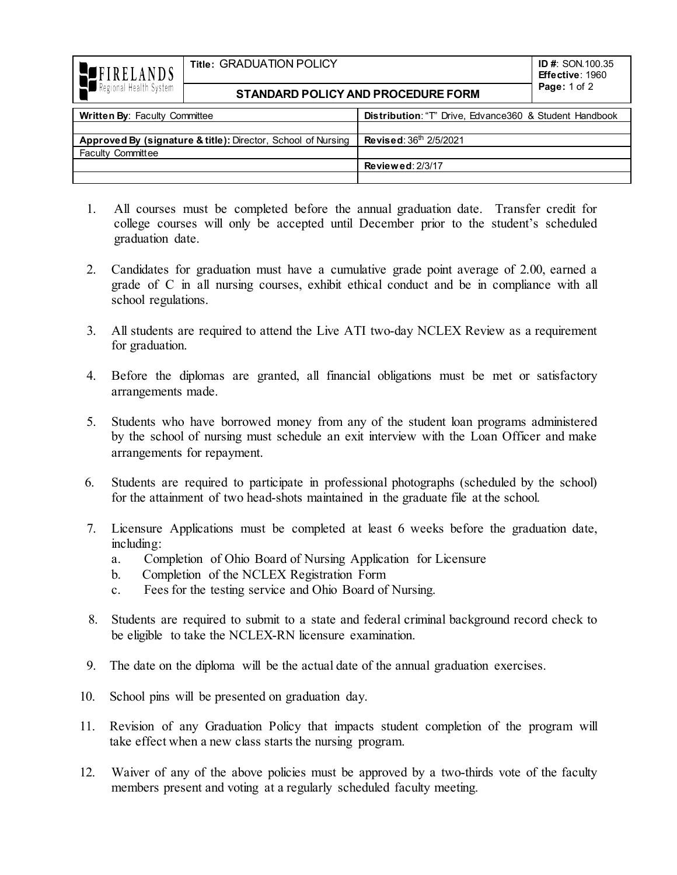| FIRELANDS Regional Health System                                                         | <b>Title: GRADUATION POLICY</b><br><b>Page: 1 of 2</b><br>STANDARD POLICY AND PROCEDURE FORM |                                                                    | <b>ID #: SON.100.35</b><br>Effective: 1960 |
|------------------------------------------------------------------------------------------|----------------------------------------------------------------------------------------------|--------------------------------------------------------------------|--------------------------------------------|
|                                                                                          |                                                                                              |                                                                    |                                            |
| <b>Written By: Faculty Committee</b>                                                     |                                                                                              | <b>Distribution: "T" Drive, Edvance 360 &amp; Student Handbook</b> |                                            |
| Approved By (signature & title): Director, School of Nursing<br><b>Faculty Committee</b> |                                                                                              | Revised: 36 <sup>th</sup> 2/5/2021                                 |                                            |
|                                                                                          |                                                                                              | <b>Reviewed: 2/3/17</b>                                            |                                            |

- 1. All courses must be completed before the annual graduation date. Transfer credit for college courses will only be accepted until December prior to the student's scheduled graduation date.
- 2. Candidates for graduation must have a cumulative grade point average of 2.00, earned a grade of C in all nursing courses, exhibit ethical conduct and be in compliance with all school regulations.
- 3. All students are required to attend the Live ATI two-day NCLEX Review as a requirement for graduation.
- 4. Before the diplomas are granted, all financial obligations must be met or satisfactory arrangements made.
- 5. Students who have borrowed money from any of the student loan programs administered by the school of nursing must schedule an exit interview with the Loan Officer and make arrangements for repayment.
- 6. Students are required to participate in professional photographs (scheduled by the school) for the attainment of two head-shots maintained in the graduate file at the school.
- 7. Licensure Applications must be completed at least 6 weeks before the graduation date, including:
	- a. Completion of Ohio Board of Nursing Application for Licensure
	- b. Completion of the NCLEX Registration Form
	- c. Fees for the testing service and Ohio Board of Nursing.
- 8. Students are required to submit to a state and federal criminal background record check to be eligible to take the NCLEX-RN licensure examination.
- 9. The date on the diploma will be the actual date of the annual graduation exercises.
- 10. School pins will be presented on graduation day.
- 11. Revision of any Graduation Policy that impacts student completion of the program will take effect when a new class starts the nursing program.
- 12. Waiver of any of the above policies must be approved by a two-thirds vote of the faculty members present and voting at a regularly scheduled faculty meeting.